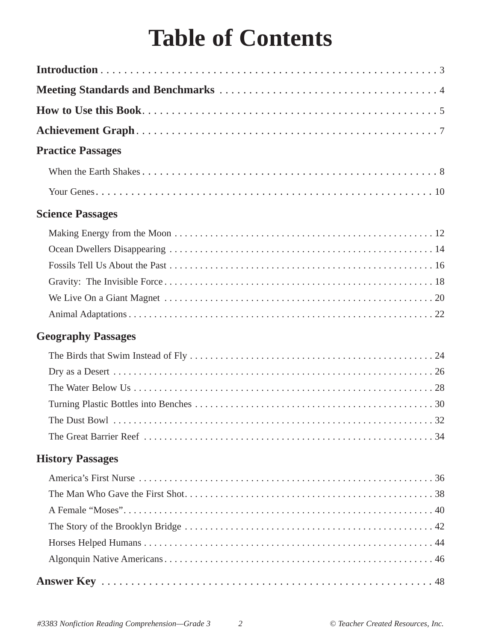## **Table of Contents**

| <b>Practice Passages</b>  |
|---------------------------|
|                           |
|                           |
| <b>Science Passages</b>   |
|                           |
|                           |
|                           |
|                           |
|                           |
|                           |
| <b>Geography Passages</b> |
|                           |
|                           |
|                           |
|                           |
|                           |
|                           |
| <b>History Passages</b>   |
|                           |
|                           |
|                           |
|                           |
|                           |
|                           |
|                           |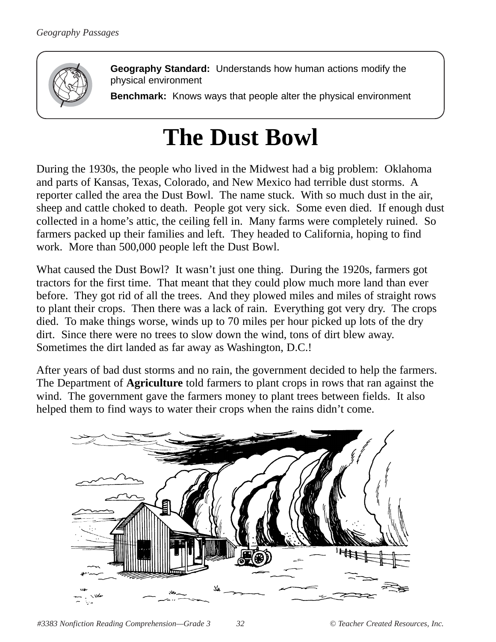

**Geography Standard:** Understands how human actions modify the physical environment

**Benchmark:** Knows ways that people alter the physical environment

## **The Dust Bowl**

During the 1930s, the people who lived in the Midwest had a big problem: Oklahoma and parts of Kansas, Texas, Colorado, and New Mexico had terrible dust storms. A reporter called the area the Dust Bowl. The name stuck. With so much dust in the air, sheep and cattle choked to death. People got very sick. Some even died. If enough dust collected in a home's attic, the ceiling fell in. Many farms were completely ruined. So farmers packed up their families and left. They headed to California, hoping to find work. More than 500,000 people left the Dust Bowl.

What caused the Dust Bowl? It wasn't just one thing. During the 1920s, farmers got tractors for the first time. That meant that they could plow much more land than ever before. They got rid of all the trees. And they plowed miles and miles of straight rows to plant their crops. Then there was a lack of rain. Everything got very dry. The crops died. To make things worse, winds up to 70 miles per hour picked up lots of the dry dirt. Since there were no trees to slow down the wind, tons of dirt blew away. Sometimes the dirt landed as far away as Washington, D.C.!

After years of bad dust storms and no rain, the government decided to help the farmers. The Department of **Agriculture** told farmers to plant crops in rows that ran against the wind. The government gave the farmers money to plant trees between fields. It also helped them to find ways to water their crops when the rains didn't come.